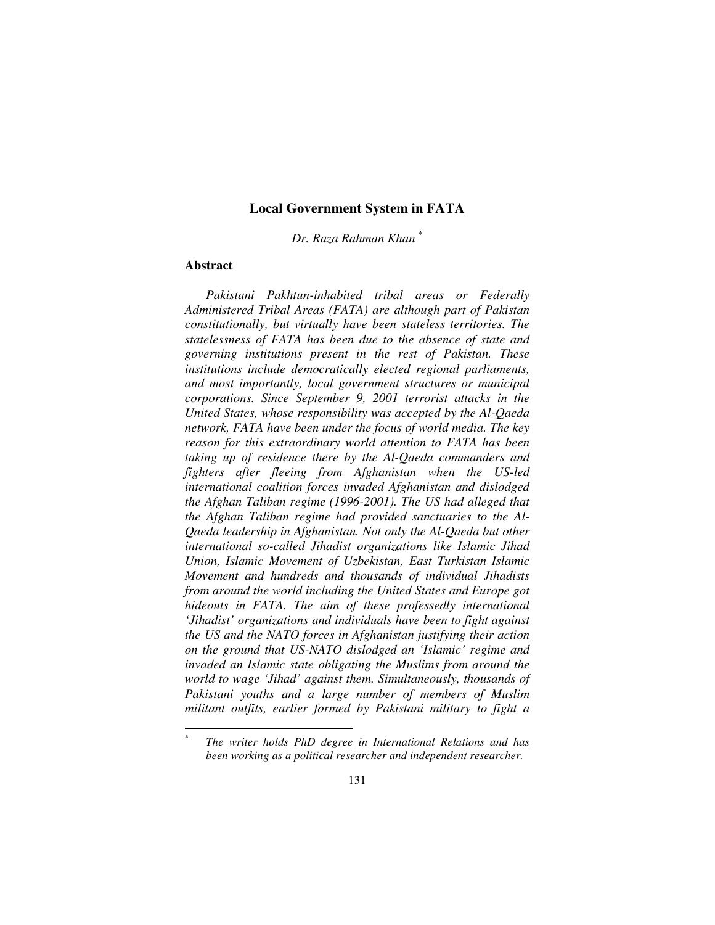*Dr. Raza Rahman Khan \**

# **Abstract**

 $\overline{a}$ 

*Pakistani Pakhtun-inhabited tribal areas or Federally Administered Tribal Areas (FATA) are although part of Pakistan constitutionally, but virtually have been stateless territories. The statelessness of FATA has been due to the absence of state and governing institutions present in the rest of Pakistan. These institutions include democratically elected regional parliaments, and most importantly, local government structures or municipal corporations. Since September 9, 2001 terrorist attacks in the United States, whose responsibility was accepted by the Al-Qaeda network, FATA have been under the focus of world media. The key reason for this extraordinary world attention to FATA has been taking up of residence there by the Al-Qaeda commanders and fighters after fleeing from Afghanistan when the US-led international coalition forces invaded Afghanistan and dislodged the Afghan Taliban regime (1996-2001). The US had alleged that the Afghan Taliban regime had provided sanctuaries to the Al-Qaeda leadership in Afghanistan. Not only the Al-Qaeda but other international so-called Jihadist organizations like Islamic Jihad Union, Islamic Movement of Uzbekistan, East Turkistan Islamic Movement and hundreds and thousands of individual Jihadists from around the world including the United States and Europe got hideouts in FATA. The aim of these professedly international 'Jihadist' organizations and individuals have been to fight against the US and the NATO forces in Afghanistan justifying their action on the ground that US-NATO dislodged an 'Islamic' regime and invaded an Islamic state obligating the Muslims from around the world to wage 'Jihad' against them. Simultaneously, thousands of Pakistani youths and a large number of members of Muslim militant outfits, earlier formed by Pakistani military to fight a* 

<sup>\*</sup>  *The writer holds PhD degree in International Relations and has been working as a political researcher and independent researcher.*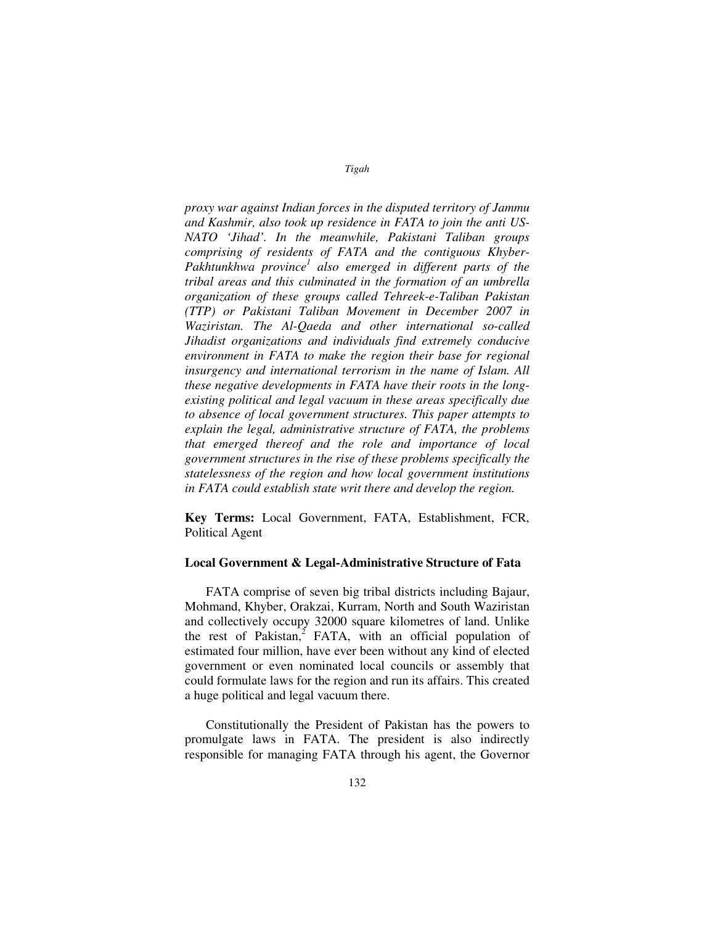*proxy war against Indian forces in the disputed territory of Jammu and Kashmir, also took up residence in FATA to join the anti US-NATO 'Jihad'. In the meanwhile, Pakistani Taliban groups comprising of residents of FATA and the contiguous Khyber-*Pakhtunkhwa province<sup>1</sup> also emerged in different parts of the *tribal areas and this culminated in the formation of an umbrella organization of these groups called Tehreek-e-Taliban Pakistan (TTP) or Pakistani Taliban Movement in December 2007 in Waziristan. The Al-Qaeda and other international so-called Jihadist organizations and individuals find extremely conducive environment in FATA to make the region their base for regional insurgency and international terrorism in the name of Islam. All these negative developments in FATA have their roots in the longexisting political and legal vacuum in these areas specifically due to absence of local government structures. This paper attempts to explain the legal, administrative structure of FATA, the problems that emerged thereof and the role and importance of local government structures in the rise of these problems specifically the statelessness of the region and how local government institutions in FATA could establish state writ there and develop the region.* 

**Key Terms:** Local Government, FATA, Establishment, FCR, Political Agent

## **Local Government & Legal-Administrative Structure of Fata**

FATA comprise of seven big tribal districts including Bajaur, Mohmand, Khyber, Orakzai, Kurram, North and South Waziristan and collectively occupy 32000 square kilometres of land. Unlike the rest of Pakistan, $2$  FATA, with an official population of estimated four million, have ever been without any kind of elected government or even nominated local councils or assembly that could formulate laws for the region and run its affairs. This created a huge political and legal vacuum there.

Constitutionally the President of Pakistan has the powers to promulgate laws in FATA. The president is also indirectly responsible for managing FATA through his agent, the Governor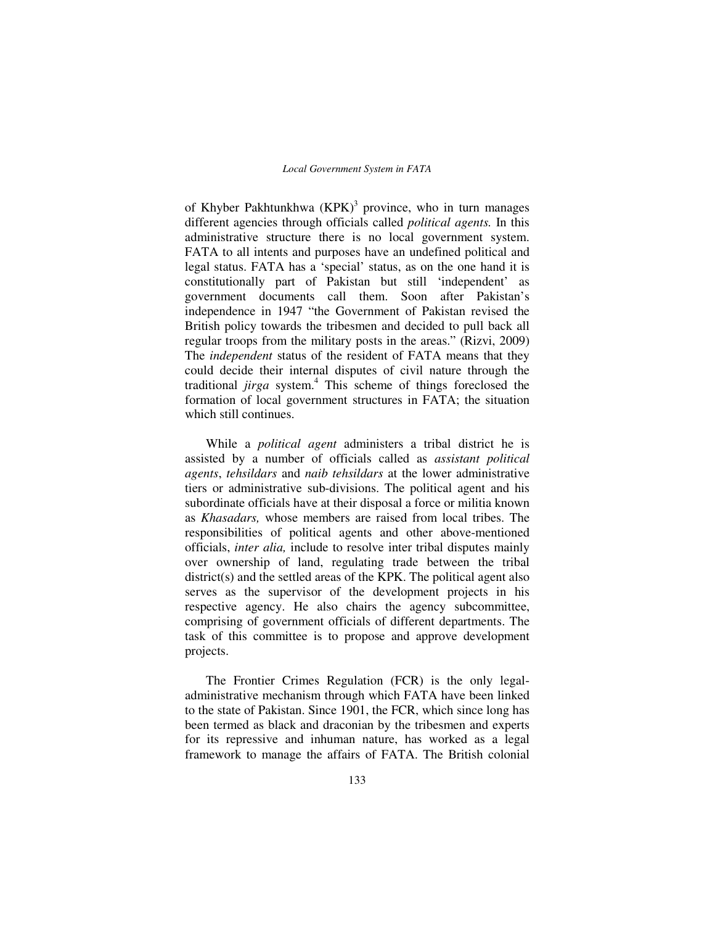of Khyber Pakhtunkhwa  $(KPK)^3$  province, who in turn manages different agencies through officials called *political agents.* In this administrative structure there is no local government system. FATA to all intents and purposes have an undefined political and legal status. FATA has a 'special' status, as on the one hand it is constitutionally part of Pakistan but still 'independent' as government documents call them. Soon after Pakistan's independence in 1947 "the Government of Pakistan revised the British policy towards the tribesmen and decided to pull back all regular troops from the military posts in the areas." (Rizvi, 2009) The *independent* status of the resident of FATA means that they could decide their internal disputes of civil nature through the traditional *jirga* system.<sup>4</sup> This scheme of things foreclosed the formation of local government structures in FATA; the situation which still continues.

While a *political agent* administers a tribal district he is assisted by a number of officials called as *assistant political agents*, *tehsildars* and *naib tehsildars* at the lower administrative tiers or administrative sub-divisions. The political agent and his subordinate officials have at their disposal a force or militia known as *Khasadars,* whose members are raised from local tribes. The responsibilities of political agents and other above-mentioned officials, *inter alia,* include to resolve inter tribal disputes mainly over ownership of land, regulating trade between the tribal district(s) and the settled areas of the KPK. The political agent also serves as the supervisor of the development projects in his respective agency. He also chairs the agency subcommittee, comprising of government officials of different departments. The task of this committee is to propose and approve development projects.

The Frontier Crimes Regulation (FCR) is the only legaladministrative mechanism through which FATA have been linked to the state of Pakistan. Since 1901, the FCR, which since long has been termed as black and draconian by the tribesmen and experts for its repressive and inhuman nature, has worked as a legal framework to manage the affairs of FATA. The British colonial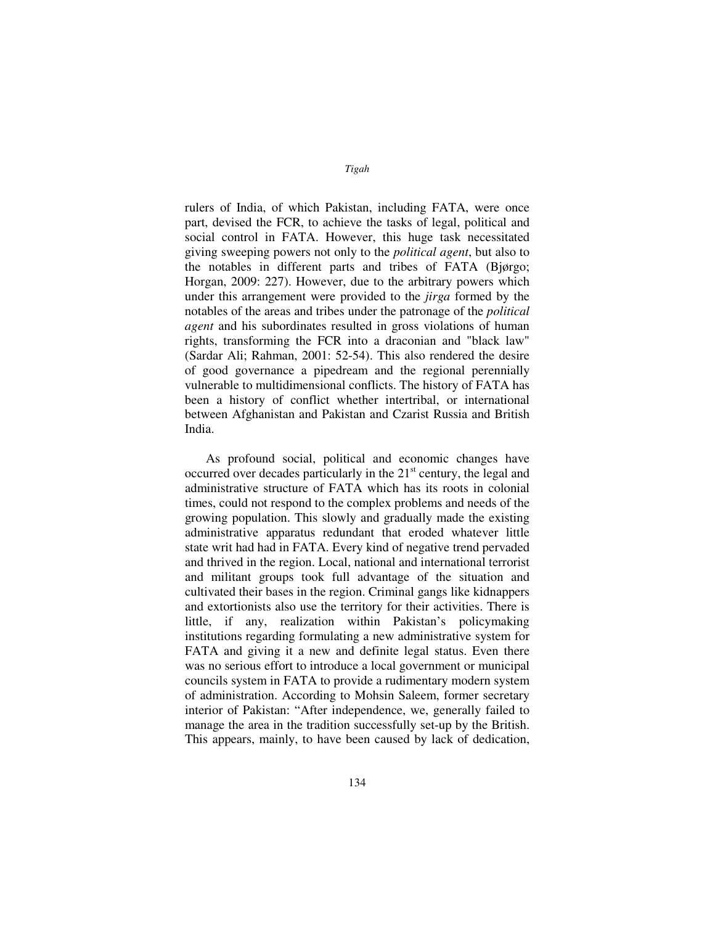rulers of India, of which Pakistan, including FATA, were once part, devised the FCR, to achieve the tasks of legal, political and social control in FATA. However, this huge task necessitated giving sweeping powers not only to the *political agent*, but also to the notables in different parts and tribes of FATA (Bjørgo; Horgan, 2009: 227). However, due to the arbitrary powers which under this arrangement were provided to the *jirga* formed by the notables of the areas and tribes under the patronage of the *political agent* and his subordinates resulted in gross violations of human rights, transforming the FCR into a draconian and "black law" (Sardar Ali; Rahman, 2001: 52-54). This also rendered the desire of good governance a pipedream and the regional perennially vulnerable to multidimensional conflicts. The history of FATA has been a history of conflict whether intertribal, or international between Afghanistan and Pakistan and Czarist Russia and British India.

As profound social, political and economic changes have occurred over decades particularly in the  $21<sup>st</sup>$  century, the legal and administrative structure of FATA which has its roots in colonial times, could not respond to the complex problems and needs of the growing population. This slowly and gradually made the existing administrative apparatus redundant that eroded whatever little state writ had had in FATA. Every kind of negative trend pervaded and thrived in the region. Local, national and international terrorist and militant groups took full advantage of the situation and cultivated their bases in the region. Criminal gangs like kidnappers and extortionists also use the territory for their activities. There is little, if any, realization within Pakistan's policymaking institutions regarding formulating a new administrative system for FATA and giving it a new and definite legal status. Even there was no serious effort to introduce a local government or municipal councils system in FATA to provide a rudimentary modern system of administration. According to Mohsin Saleem, former secretary interior of Pakistan: "After independence, we, generally failed to manage the area in the tradition successfully set-up by the British. This appears, mainly, to have been caused by lack of dedication,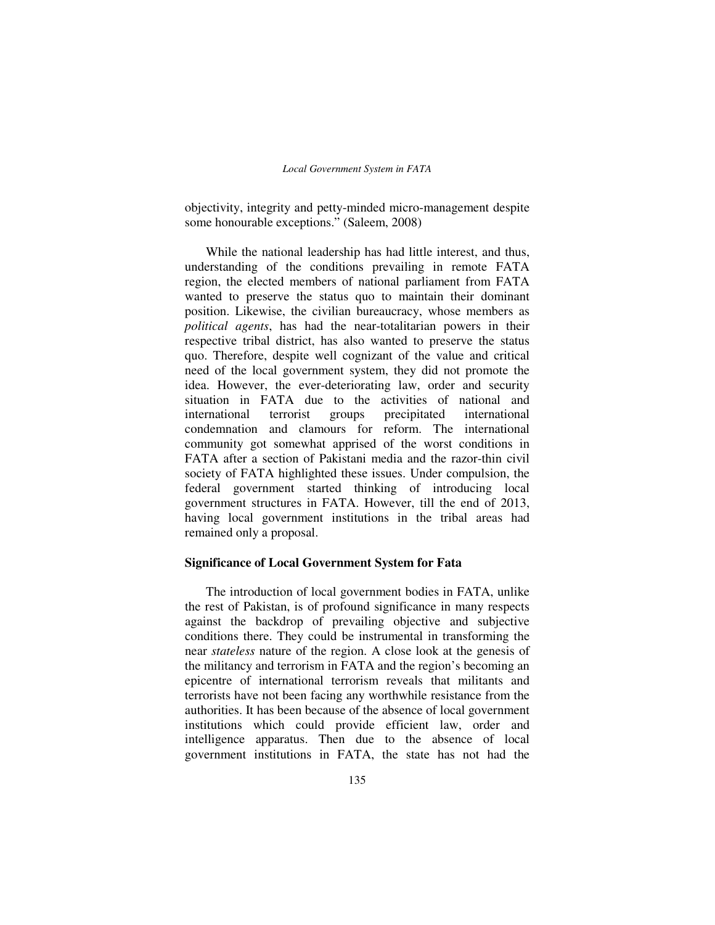objectivity, integrity and petty-minded micro-management despite some honourable exceptions." (Saleem, 2008)

While the national leadership has had little interest, and thus, understanding of the conditions prevailing in remote FATA region, the elected members of national parliament from FATA wanted to preserve the status quo to maintain their dominant position. Likewise, the civilian bureaucracy, whose members as *political agents*, has had the near-totalitarian powers in their respective tribal district, has also wanted to preserve the status quo. Therefore, despite well cognizant of the value and critical need of the local government system, they did not promote the idea. However, the ever-deteriorating law, order and security situation in FATA due to the activities of national and international terrorist groups precipitated international condemnation and clamours for reform. The international community got somewhat apprised of the worst conditions in FATA after a section of Pakistani media and the razor-thin civil society of FATA highlighted these issues. Under compulsion, the federal government started thinking of introducing local government structures in FATA. However, till the end of 2013, having local government institutions in the tribal areas had remained only a proposal.

## **Significance of Local Government System for Fata**

The introduction of local government bodies in FATA, unlike the rest of Pakistan, is of profound significance in many respects against the backdrop of prevailing objective and subjective conditions there. They could be instrumental in transforming the near *stateless* nature of the region. A close look at the genesis of the militancy and terrorism in FATA and the region's becoming an epicentre of international terrorism reveals that militants and terrorists have not been facing any worthwhile resistance from the authorities. It has been because of the absence of local government institutions which could provide efficient law, order and intelligence apparatus. Then due to the absence of local government institutions in FATA, the state has not had the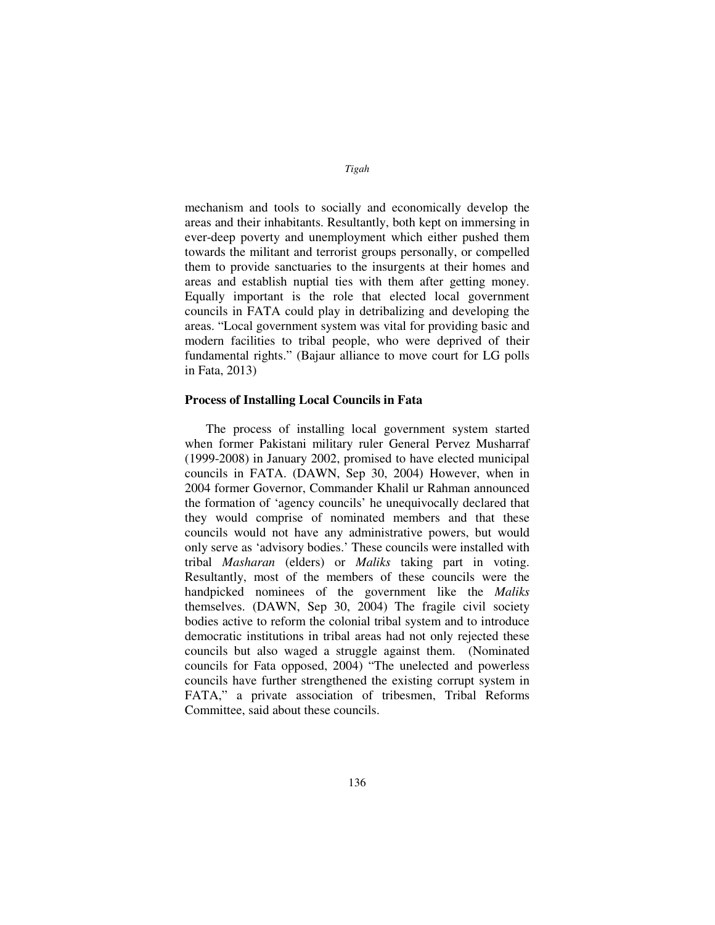mechanism and tools to socially and economically develop the areas and their inhabitants. Resultantly, both kept on immersing in ever-deep poverty and unemployment which either pushed them towards the militant and terrorist groups personally, or compelled them to provide sanctuaries to the insurgents at their homes and areas and establish nuptial ties with them after getting money. Equally important is the role that elected local government councils in FATA could play in detribalizing and developing the areas. "Local government system was vital for providing basic and modern facilities to tribal people, who were deprived of their fundamental rights." (Bajaur alliance to move court for LG polls in Fata, 2013)

## **Process of Installing Local Councils in Fata**

The process of installing local government system started when former Pakistani military ruler General Pervez Musharraf (1999-2008) in January 2002, promised to have elected municipal councils in FATA. (DAWN, Sep 30, 2004) However, when in 2004 former Governor, Commander Khalil ur Rahman announced the formation of 'agency councils' he unequivocally declared that they would comprise of nominated members and that these councils would not have any administrative powers, but would only serve as 'advisory bodies.' These councils were installed with tribal *Masharan* (elders) or *Maliks* taking part in voting. Resultantly, most of the members of these councils were the handpicked nominees of the government like the *Maliks*  themselves. (DAWN, Sep 30, 2004) The fragile civil society bodies active to reform the colonial tribal system and to introduce democratic institutions in tribal areas had not only rejected these councils but also waged a struggle against them. (Nominated councils for Fata opposed, 2004) "The unelected and powerless councils have further strengthened the existing corrupt system in FATA," a private association of tribesmen, Tribal Reforms Committee, said about these councils.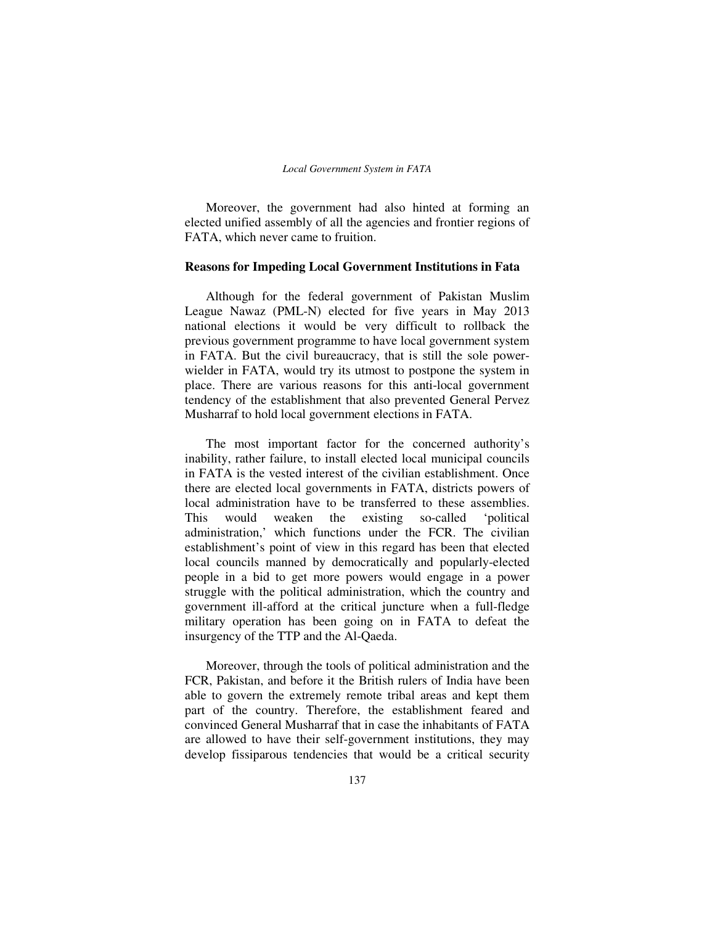Moreover, the government had also hinted at forming an elected unified assembly of all the agencies and frontier regions of FATA, which never came to fruition.

### **Reasons for Impeding Local Government Institutions in Fata**

Although for the federal government of Pakistan Muslim League Nawaz (PML-N) elected for five years in May 2013 national elections it would be very difficult to rollback the previous government programme to have local government system in FATA. But the civil bureaucracy, that is still the sole powerwielder in FATA, would try its utmost to postpone the system in place. There are various reasons for this anti-local government tendency of the establishment that also prevented General Pervez Musharraf to hold local government elections in FATA.

The most important factor for the concerned authority's inability, rather failure, to install elected local municipal councils in FATA is the vested interest of the civilian establishment. Once there are elected local governments in FATA, districts powers of local administration have to be transferred to these assemblies. This would weaken the existing so-called 'political administration,' which functions under the FCR. The civilian establishment's point of view in this regard has been that elected local councils manned by democratically and popularly-elected people in a bid to get more powers would engage in a power struggle with the political administration, which the country and government ill-afford at the critical juncture when a full-fledge military operation has been going on in FATA to defeat the insurgency of the TTP and the Al-Qaeda.

Moreover, through the tools of political administration and the FCR, Pakistan, and before it the British rulers of India have been able to govern the extremely remote tribal areas and kept them part of the country. Therefore, the establishment feared and convinced General Musharraf that in case the inhabitants of FATA are allowed to have their self-government institutions, they may develop fissiparous tendencies that would be a critical security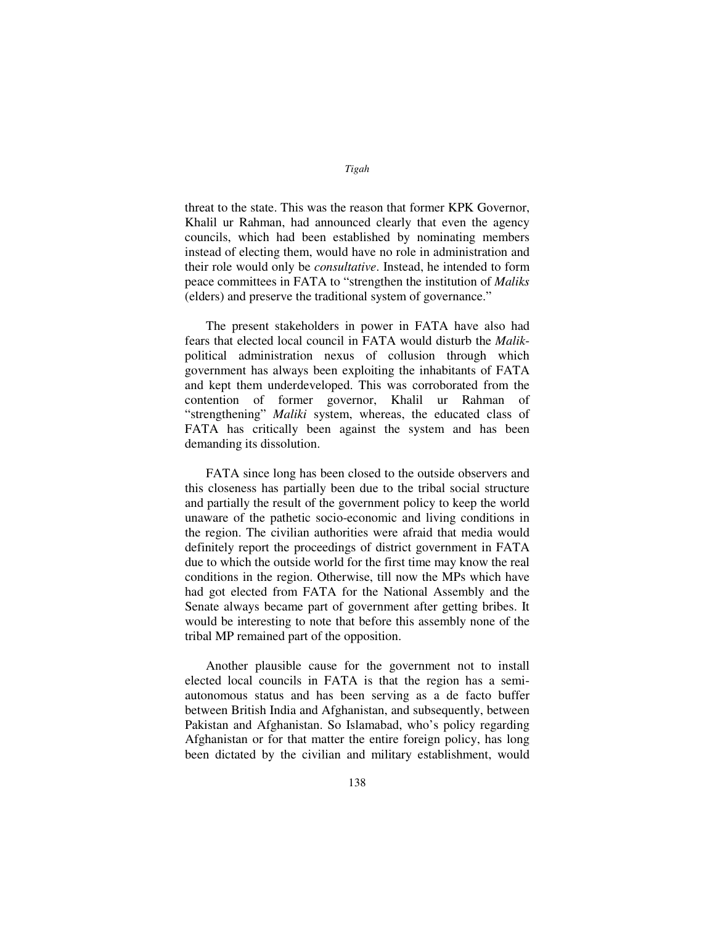threat to the state. This was the reason that former KPK Governor, Khalil ur Rahman, had announced clearly that even the agency councils, which had been established by nominating members instead of electing them, would have no role in administration and their role would only be *consultative*. Instead, he intended to form peace committees in FATA to "strengthen the institution of *Maliks* (elders) and preserve the traditional system of governance."

The present stakeholders in power in FATA have also had fears that elected local council in FATA would disturb the *Malik*political administration nexus of collusion through which government has always been exploiting the inhabitants of FATA and kept them underdeveloped. This was corroborated from the contention of former governor, Khalil ur Rahman "strengthening" *Maliki* system, whereas, the educated class of FATA has critically been against the system and has been demanding its dissolution.

FATA since long has been closed to the outside observers and this closeness has partially been due to the tribal social structure and partially the result of the government policy to keep the world unaware of the pathetic socio-economic and living conditions in the region. The civilian authorities were afraid that media would definitely report the proceedings of district government in FATA due to which the outside world for the first time may know the real conditions in the region. Otherwise, till now the MPs which have had got elected from FATA for the National Assembly and the Senate always became part of government after getting bribes. It would be interesting to note that before this assembly none of the tribal MP remained part of the opposition.

Another plausible cause for the government not to install elected local councils in FATA is that the region has a semiautonomous status and has been serving as a de facto buffer between British India and Afghanistan, and subsequently, between Pakistan and Afghanistan. So Islamabad, who's policy regarding Afghanistan or for that matter the entire foreign policy, has long been dictated by the civilian and military establishment, would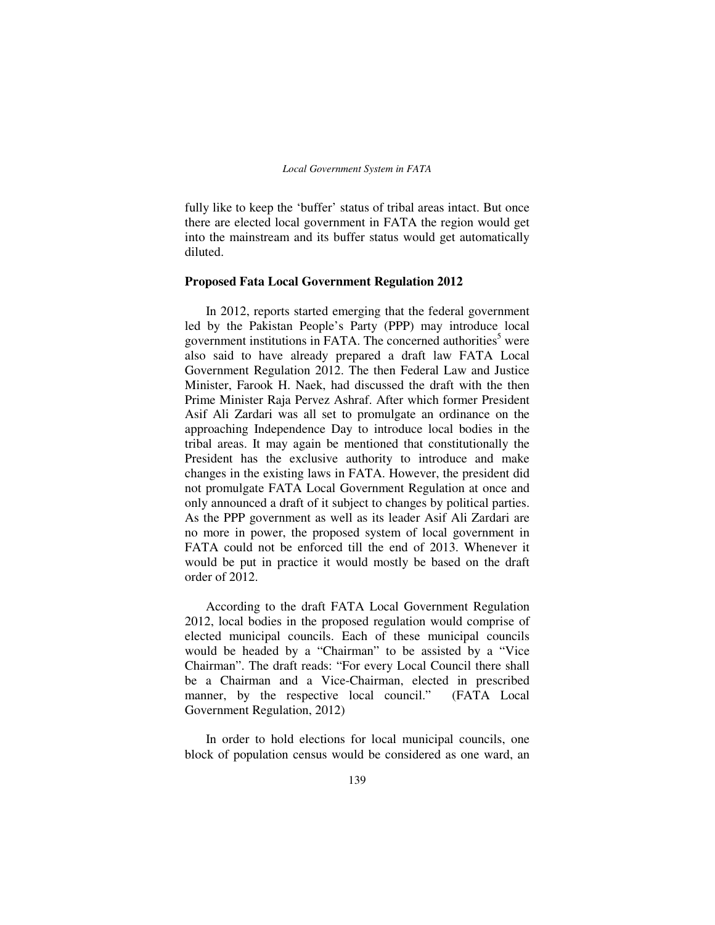fully like to keep the 'buffer' status of tribal areas intact. But once there are elected local government in FATA the region would get into the mainstream and its buffer status would get automatically diluted.

## **Proposed Fata Local Government Regulation 2012**

In 2012, reports started emerging that the federal government led by the Pakistan People's Party (PPP) may introduce local government institutions in FATA. The concerned authorities<sup>5</sup> were also said to have already prepared a draft law FATA Local Government Regulation 2012. The then Federal Law and Justice Minister, Farook H. Naek, had discussed the draft with the then Prime Minister Raja Pervez Ashraf. After which former President Asif Ali Zardari was all set to promulgate an ordinance on the approaching Independence Day to introduce local bodies in the tribal areas. It may again be mentioned that constitutionally the President has the exclusive authority to introduce and make changes in the existing laws in FATA. However, the president did not promulgate FATA Local Government Regulation at once and only announced a draft of it subject to changes by political parties. As the PPP government as well as its leader Asif Ali Zardari are no more in power, the proposed system of local government in FATA could not be enforced till the end of 2013. Whenever it would be put in practice it would mostly be based on the draft order of 2012.

According to the draft FATA Local Government Regulation 2012, local bodies in the proposed regulation would comprise of elected municipal councils. Each of these municipal councils would be headed by a "Chairman" to be assisted by a "Vice Chairman". The draft reads: "For every Local Council there shall be a Chairman and a Vice-Chairman, elected in prescribed manner, by the respective local council." (FATA Local Government Regulation, 2012)

In order to hold elections for local municipal councils, one block of population census would be considered as one ward, an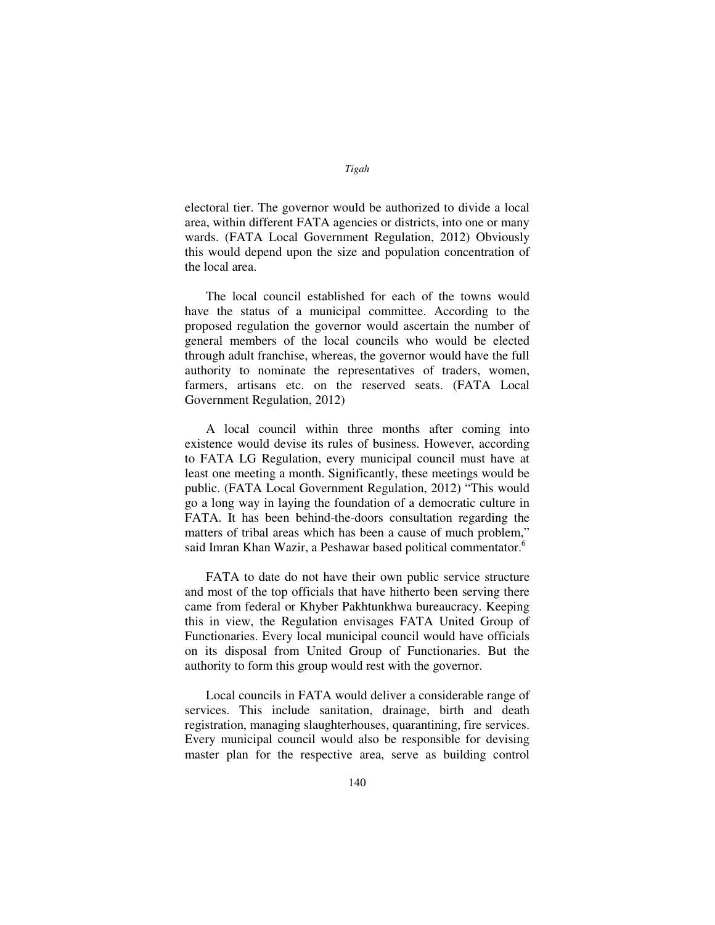electoral tier. The governor would be authorized to divide a local area, within different FATA agencies or districts, into one or many wards. (FATA Local Government Regulation, 2012) Obviously this would depend upon the size and population concentration of the local area.

The local council established for each of the towns would have the status of a municipal committee. According to the proposed regulation the governor would ascertain the number of general members of the local councils who would be elected through adult franchise, whereas, the governor would have the full authority to nominate the representatives of traders, women, farmers, artisans etc. on the reserved seats. (FATA Local Government Regulation, 2012)

A local council within three months after coming into existence would devise its rules of business. However, according to FATA LG Regulation, every municipal council must have at least one meeting a month. Significantly, these meetings would be public. (FATA Local Government Regulation, 2012) "This would go a long way in laying the foundation of a democratic culture in FATA. It has been behind-the-doors consultation regarding the matters of tribal areas which has been a cause of much problem," said Imran Khan Wazir, a Peshawar based political commentator.<sup>6</sup>

FATA to date do not have their own public service structure and most of the top officials that have hitherto been serving there came from federal or Khyber Pakhtunkhwa bureaucracy. Keeping this in view, the Regulation envisages FATA United Group of Functionaries. Every local municipal council would have officials on its disposal from United Group of Functionaries. But the authority to form this group would rest with the governor.

Local councils in FATA would deliver a considerable range of services. This include sanitation, drainage, birth and death registration, managing slaughterhouses, quarantining, fire services. Every municipal council would also be responsible for devising master plan for the respective area, serve as building control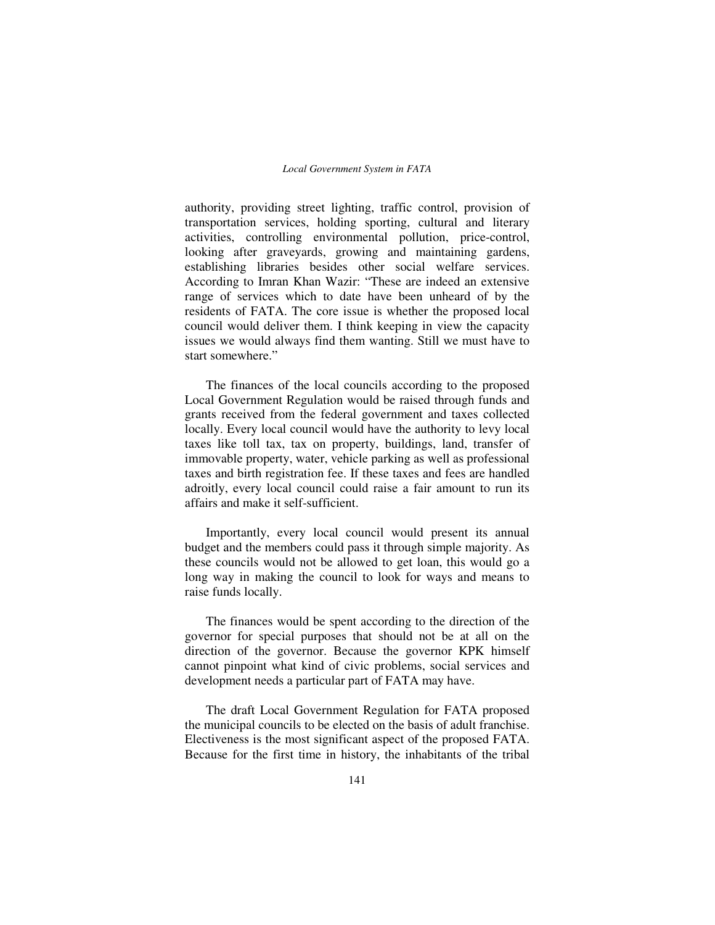authority, providing street lighting, traffic control, provision of transportation services, holding sporting, cultural and literary activities, controlling environmental pollution, price-control, looking after graveyards, growing and maintaining gardens, establishing libraries besides other social welfare services. According to Imran Khan Wazir: "These are indeed an extensive range of services which to date have been unheard of by the residents of FATA. The core issue is whether the proposed local council would deliver them. I think keeping in view the capacity issues we would always find them wanting. Still we must have to start somewhere."

The finances of the local councils according to the proposed Local Government Regulation would be raised through funds and grants received from the federal government and taxes collected locally. Every local council would have the authority to levy local taxes like toll tax, tax on property, buildings, land, transfer of immovable property, water, vehicle parking as well as professional taxes and birth registration fee. If these taxes and fees are handled adroitly, every local council could raise a fair amount to run its affairs and make it self-sufficient.

Importantly, every local council would present its annual budget and the members could pass it through simple majority. As these councils would not be allowed to get loan, this would go a long way in making the council to look for ways and means to raise funds locally.

The finances would be spent according to the direction of the governor for special purposes that should not be at all on the direction of the governor. Because the governor KPK himself cannot pinpoint what kind of civic problems, social services and development needs a particular part of FATA may have.

The draft Local Government Regulation for FATA proposed the municipal councils to be elected on the basis of adult franchise. Electiveness is the most significant aspect of the proposed FATA. Because for the first time in history, the inhabitants of the tribal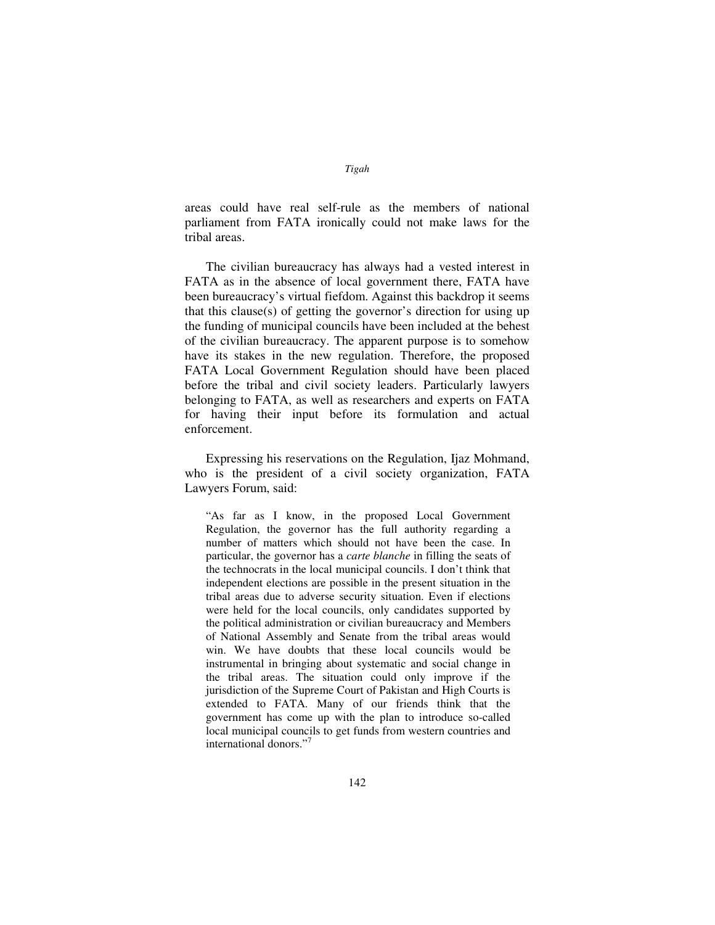areas could have real self-rule as the members of national parliament from FATA ironically could not make laws for the tribal areas.

The civilian bureaucracy has always had a vested interest in FATA as in the absence of local government there, FATA have been bureaucracy's virtual fiefdom. Against this backdrop it seems that this clause(s) of getting the governor's direction for using up the funding of municipal councils have been included at the behest of the civilian bureaucracy. The apparent purpose is to somehow have its stakes in the new regulation. Therefore, the proposed FATA Local Government Regulation should have been placed before the tribal and civil society leaders. Particularly lawyers belonging to FATA, as well as researchers and experts on FATA for having their input before its formulation and actual enforcement.

Expressing his reservations on the Regulation, Ijaz Mohmand, who is the president of a civil society organization, FATA Lawyers Forum, said:

"As far as I know, in the proposed Local Government Regulation, the governor has the full authority regarding a number of matters which should not have been the case. In particular, the governor has a *carte blanche* in filling the seats of the technocrats in the local municipal councils. I don't think that independent elections are possible in the present situation in the tribal areas due to adverse security situation. Even if elections were held for the local councils, only candidates supported by the political administration or civilian bureaucracy and Members of National Assembly and Senate from the tribal areas would win. We have doubts that these local councils would be instrumental in bringing about systematic and social change in the tribal areas. The situation could only improve if the jurisdiction of the Supreme Court of Pakistan and High Courts is extended to FATA. Many of our friends think that the government has come up with the plan to introduce so-called local municipal councils to get funds from western countries and international donors."<sup>7</sup>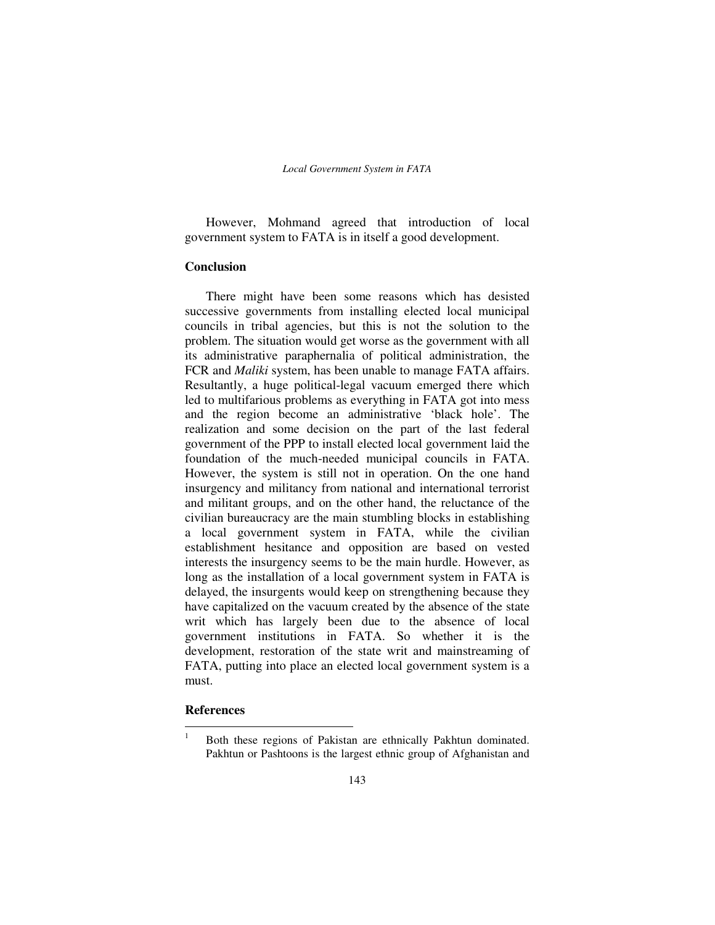However, Mohmand agreed that introduction of local government system to FATA is in itself a good development.

## **Conclusion**

There might have been some reasons which has desisted successive governments from installing elected local municipal councils in tribal agencies, but this is not the solution to the problem. The situation would get worse as the government with all its administrative paraphernalia of political administration, the FCR and *Maliki* system, has been unable to manage FATA affairs. Resultantly, a huge political-legal vacuum emerged there which led to multifarious problems as everything in FATA got into mess and the region become an administrative 'black hole'. The realization and some decision on the part of the last federal government of the PPP to install elected local government laid the foundation of the much-needed municipal councils in FATA. However, the system is still not in operation. On the one hand insurgency and militancy from national and international terrorist and militant groups, and on the other hand, the reluctance of the civilian bureaucracy are the main stumbling blocks in establishing a local government system in FATA, while the civilian establishment hesitance and opposition are based on vested interests the insurgency seems to be the main hurdle. However, as long as the installation of a local government system in FATA is delayed, the insurgents would keep on strengthening because they have capitalized on the vacuum created by the absence of the state writ which has largely been due to the absence of local government institutions in FATA. So whether it is the development, restoration of the state writ and mainstreaming of FATA, putting into place an elected local government system is a must.

# **References**

 $\frac{1}{1}$  Both these regions of Pakistan are ethnically Pakhtun dominated. Pakhtun or Pashtoons is the largest ethnic group of Afghanistan and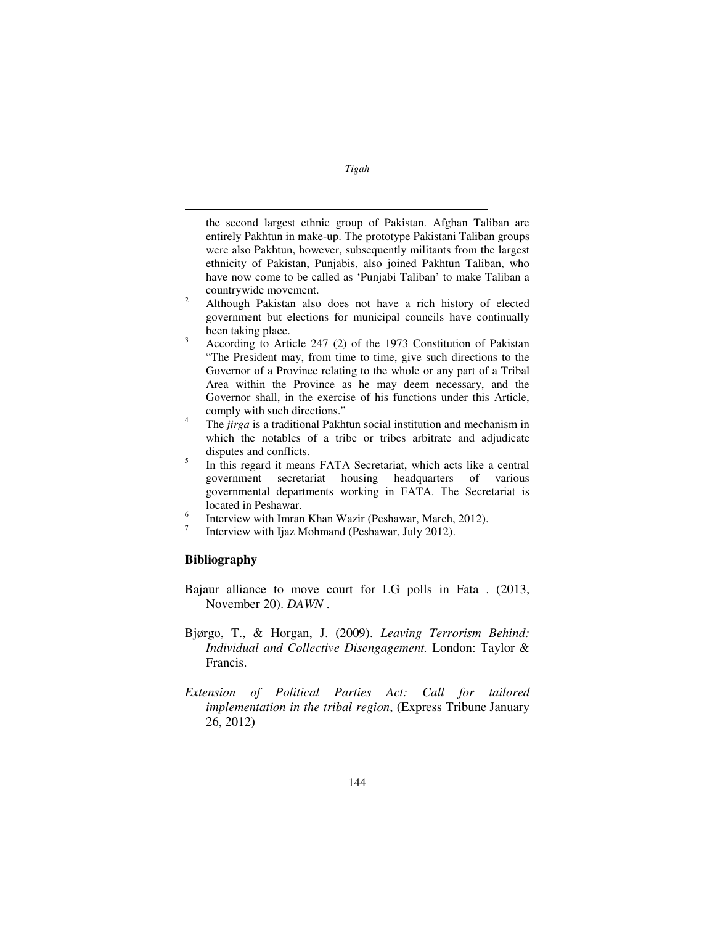the second largest ethnic group of Pakistan. Afghan Taliban are entirely Pakhtun in make-up. The prototype Pakistani Taliban groups were also Pakhtun, however, subsequently militants from the largest ethnicity of Pakistan, Punjabis, also joined Pakhtun Taliban, who have now come to be called as 'Punjabi Taliban' to make Taliban a countrywide movement.

- $\overline{2}$  Although Pakistan also does not have a rich history of elected government but elections for municipal councils have continually been taking place.
- 3 According to Article 247 (2) of the 1973 Constitution of Pakistan "The President may, from time to time, give such directions to the Governor of a Province relating to the whole or any part of a Tribal Area within the Province as he may deem necessary, and the Governor shall, in the exercise of his functions under this Article, comply with such directions."
- 4 The *jirga* is a traditional Pakhtun social institution and mechanism in which the notables of a tribe or tribes arbitrate and adjudicate disputes and conflicts.
- 5 In this regard it means FATA Secretariat, which acts like a central government secretariat housing headquarters of various governmental departments working in FATA. The Secretariat is located in Peshawar.
- 6 Interview with Imran Khan Wazir (Peshawar, March, 2012).
- 7 Interview with Ijaz Mohmand (Peshawar, July 2012).

# **Bibliography**

 $\overline{a}$ 

- Bajaur alliance to move court for LG polls in Fata . (2013, November 20). *DAWN* .
- Bjørgo, T., & Horgan, J. (2009). *Leaving Terrorism Behind: Individual and Collective Disengagement.* London: Taylor & Francis.
- *Extension of Political Parties Act: Call for tailored implementation in the tribal region*, (Express Tribune January 26, 2012)